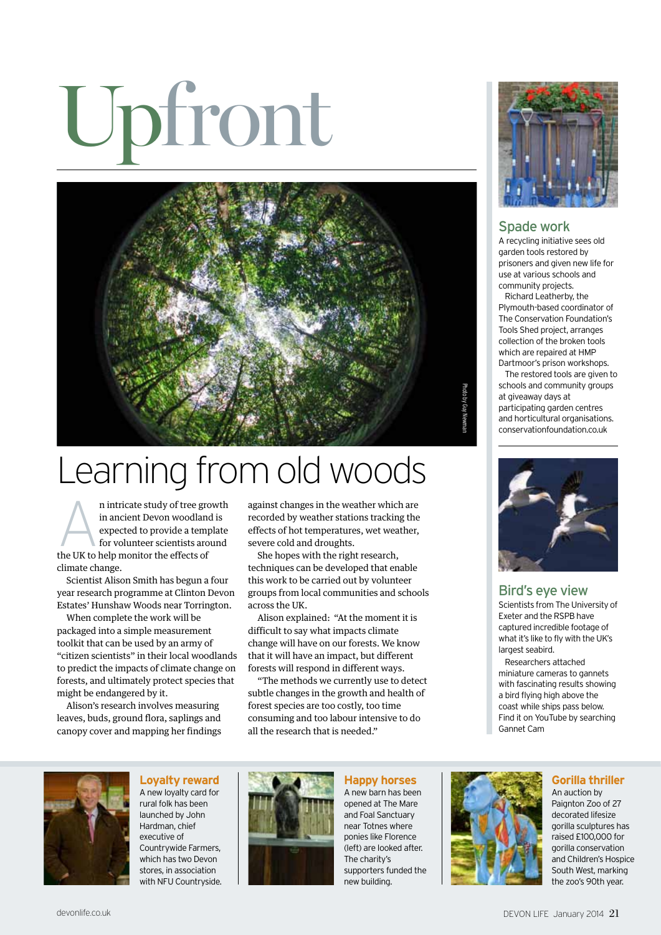# Upfront



# Learning from old woods

n intricate study of tree growth<br>
in ancient Devon woodland is<br>
expected to provide a template<br>
for volunteer scientists around<br>
the UK to help monitor the effects of in ancient Devon woodland is expected to provide a template for volunteer scientists around climate change.

Scientist Alison Smith has begun a four year research programme at Clinton Devon Estates' Hunshaw Woods near Torrington.

When complete the work will be packaged into a simple measurement toolkit that can be used by an army of "citizen scientists" in their local woodlands to predict the impacts of climate change on forests, and ultimately protect species that might be endangered by it.

Alison's research involves measuring leaves, buds, ground flora, saplings and canopy cover and mapping her findings against changes in the weather which are recorded by weather stations tracking the effects of hot temperatures, wet weather, severe cold and droughts.

She hopes with the right research, techniques can be developed that enable this work to be carried out by volunteer groups from local communities and schools across the UK.

Alison explained: "At the moment it is difficult to say what impacts climate change will have on our forests. We know that it will have an impact, but different forests will respond in different ways.

"The methods we currently use to detect subtle changes in the growth and health of forest species are too costly, too time consuming and too labour intensive to do all the research that is needed."



#### Spade work

A recycling initiative sees old garden tools restored by prisoners and given new life for use at various schools and community projects.

Richard Leatherby, the Plymouth-based coordinator of The Conservation Foundation's Tools Shed project, arranges collection of the broken tools which are repaired at HMP Dartmoor's prison workshops.

The restored tools are given to schools and community groups at giveaway days at participating garden centres and horticultural organisations. conservationfoundation.co.uk



#### Bird's eye view

Scientists from The University of Exeter and the RSPB have captured incredible footage of what it's like to fly with the UK's largest seabird.

Researchers attached miniature cameras to gannets with fascinating results showing a bird flying high above the coast while ships pass below. Find it on YouTube by searching Gannet Cam



**Loyalty reward** A new loyalty card for

rural folk has been launched by John Hardman, chief executive of Countrywide Farmers, which has two Devon stores, in association with NFU Countryside.



#### **Happy horses** A new barn has been

opened at The Mare and Foal Sanctuary near Totnes where ponies like Florence (left) are looked after. The charity's supporters funded the new building.



#### **Gorilla thriller**

An auction by Paignton Zoo of 27 decorated lifesize gorilla sculptures has raised £100,000 for gorilla conservation and Children's Hospice South West, marking the zoo's 90th year.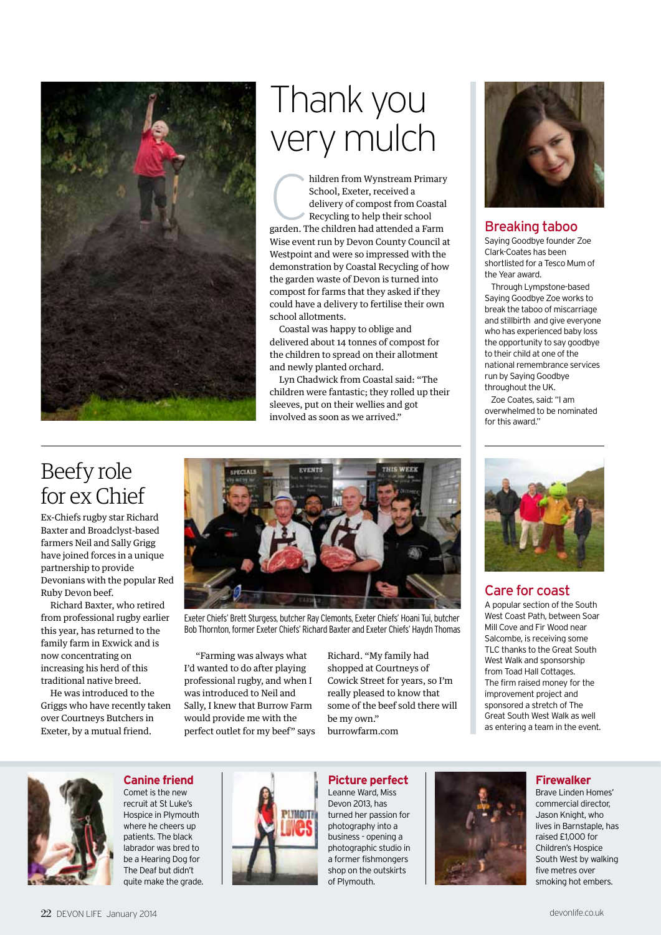

# Thank you very mulch

hildren from Wynstream Primary<br>School, Exeter, received a<br>delivery of compost from Coastal<br>Recycling to help their school<br>garden. The children had attended a Farm School, Exeter, received a delivery of compost from Coastal Recycling to help their school garden. The children had attended a Farm Wise event run by Devon County Council at Westpoint and were so impressed with the demonstration by Coastal Recycling of how the garden waste of Devon is turned into compost for farms that they asked if they could have a delivery to fertilise their own school allotments.

Coastal was happy to oblige and delivered about 14 tonnes of compost for the children to spread on their allotment and newly planted orchard.

Lyn Chadwick from Coastal said: "The children were fantastic; they rolled up their sleeves, put on their wellies and got involved as soon as we arrived."



#### Breaking taboo

Saying Goodbye founder Zoe Clark-Coates has been shortlisted for a Tesco Mum of the Year award.

Through Lympstone-based Saying Goodbye Zoe works to break the taboo of miscarriage and stillbirth and give everyone who has experienced baby loss the opportunity to say goodbye to their child at one of the national remembrance services run by Saying Goodbye throughout the UK.

Zoe Coates, said: "I am overwhelmed to be nominated for this award."

## Beefy role for ex Chief

Ex-Chiefs rugby star Richard Baxter and Broadclyst-based farmers Neil and Sally Grigg have joined forces in a unique partnership to provide Devonians with the popular Red Ruby Devon beef.

Richard Baxter, who retired from professional rugby earlier this year, has returned to the family farm in Exwick and is now concentrating on increasing his herd of this traditional native breed.

He was introduced to the Griggs who have recently taken over Courtneys Butchers in Exeter, by a mutual friend.



Exeter Chiefs' Brett Sturgess, butcher Ray Clemonts, Exeter Chiefs' Hoani Tui, butcher Bob Thornton, former Exeter Chiefs' Richard Baxter and Exeter Chiefs' Haydn Thomas

 "Farming was always what I'd wanted to do after playing professional rugby, and when I was introduced to Neil and Sally, I knew that Burrow Farm would provide me with the perfect outlet for my beef" says Richard. "My family had shopped at Courtneys of Cowick Street for years, so I'm really pleased to know that some of the beef sold there will be my own." burrowfarm.com



#### Care for coast

A popular section of the South West Coast Path, between Soar Mill Cove and Fir Wood near Salcombe, is receiving some TLC thanks to the Great South West Walk and sponsorship from Toad Hall Cottages. The firm raised money for the improvement project and sponsored a stretch of The Great South West Walk as well as entering a team in the event.



**Canine friend** Comet is the new recruit at St Luke's Hospice in Plymouth where he cheers up patients. The black labrador was bred to be a Hearing Dog for The Deaf but didn't quite make the grade.



#### **Picture perfect**

Leanne Ward, Miss Devon 2013, has turned her passion for photography into a business - opening a photographic studio in a former fishmongers shop on the outskirts of Plymouth.



#### **Firewalker**

Brave Linden Homes' commercial director, Jason Knight, who lives in Barnstaple, has raised £1,000 for Children's Hospice South West by walking five metres over smoking hot embers.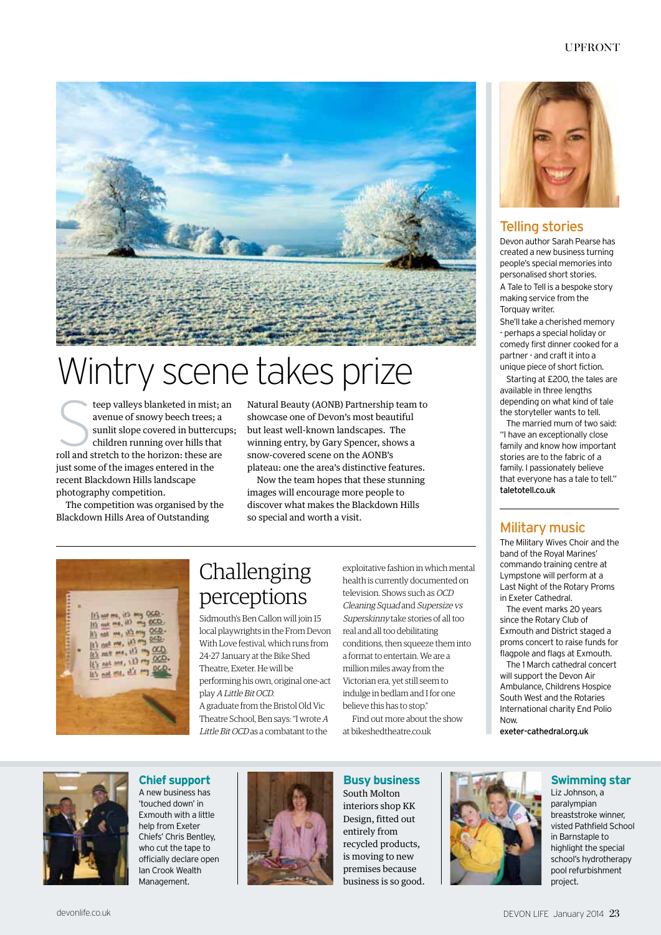

# Wintry scene takes prize

teep valleys blanketed in mist; a avenue of snowy beech trees; a sunlit slope covered in buttercu children running over hills that roll and stretch to the horizon: these are teep valleys blanketed in mist; an avenue of snowy beech trees; a sunlit slope covered in buttercups; children running over hills that just some of the images entered in the recent Blackdown Hills landscape photography competition.

The competition was organised by the Blackdown Hills Area of Outstanding

Natural Beauty (AONB) Partnership team to showcase one of Devon's most beautiful but least well-known landscapes. The winning entry, by Gary Spencer, shows a snow-covered scene on the AONB's plateau: one the area's distinctive features.

Now the team hopes that these stunning images will encourage more people to discover what makes the Blackdown Hills so special and worth a visit.



## Challenging perceptions

Sidmouth's Ben Callon will join 15 local playwrights in the From Devon With Love festival, which runs from 24-27 January at the Bike Shed Theatre, Exeter. He will be performing his own, original one-act play A Little Bit OCD. A graduate from the Bristol Old Vic Theatre School, Ben says: "I wrote <sup>A</sup> Little Bit OCD as a combatant to the

exploitative fashion in which mental health is currently documented on television. Shows such as OCD Cleaning Squad and Supersize vs Superskinny take stories of all too real and all too debilitating conditions, then squeeze them into a format to entertain. We are a million miles away from the Victorian era, yet still seem to indulge in bedlam and I for one believe this has to stop."

Find out more about the show at bikeshedtheatre.co.uk



#### Telling stories

Devon author Sarah Pearse has created a new business turning people's special memories into personalised short stories. A Tale to Tell is a bespoke story making service from the Torquay writer.

She'll take a cherished memory - perhaps a special holiday or comedy first dinner cooked for a partner - and craft it into a unique piece of short fiction.

Starting at £200, the tales are available in three lengths depending on what kind of tale the storyteller wants to tell.

The married mum of two said: "I have an exceptionally close family and know how important stories are to the fabric of a family. I passionately believe that everyone has a tale to tell." taletotell.co.uk

#### Military music

The Military Wives Choir and the band of the Royal Marines' commando training centre at Lympstone will perform at a Last Night of the Rotary Proms in Exeter Cathedral.

The event marks 20 years since the Rotary Club of Exmouth and District staged a proms concert to raise funds for flagpole and flags at Exmouth.

The 1 March cathedral concert will support the Devon Air Ambulance, Childrens Hospice South West and the Rotaries International charity End Polio Now.

exeter-cathedral.org.uk



**Chief support** A new business has 'touched down' in Exmouth with a little help from Exeter Chiefs' Chris Bentley, who cut the tape to officially declare open Ian Crook Wealth Management.



#### **Busy business** South Molton interiors shop KK Design, fitted out entirely from recycled products, is moving to new premises because business is so good.



#### **Swimming star**

Liz Johnson, a paralympian breaststroke winner, visted Pathfield School in Barnstaple to highlight the special school's hydrotherapy pool refurbishment project.